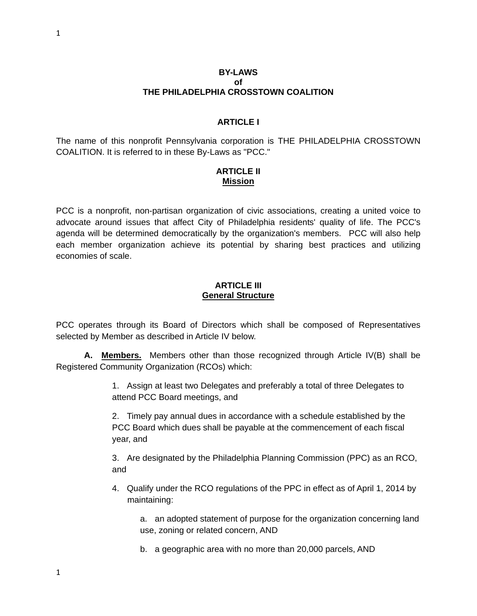#### **BY-LAWS of THE PHILADELPHIA CROSSTOWN COALITION**

#### **ARTICI FI**

The name of this nonprofit Pennsylvania corporation is THE PHILADELPHIA CROSSTOWN COALITION. It is referred to in these By-Laws as "PCC."

# **ARTICLE II Mission**

PCC is a nonprofit, non-partisan organization of civic associations, creating a united voice to advocate around issues that affect City of Philadelphia residents' quality of life. The PCC's agenda will be determined democratically by the organization's members. PCC will also help each member organization achieve its potential by sharing best practices and utilizing economies of scale.

#### **ARTICLE III General Structure**

PCC operates through its Board of Directors which shall be composed of Representatives selected by Member as described in Article IV below.

**A. Members.** Members other than those recognized through Article IV(B) shall be Registered Community Organization (RCOs) which:

> 1. Assign at least two Delegates and preferably a total of three Delegates to attend PCC Board meetings, and

> 2. Timely pay annual dues in accordance with a schedule established by the PCC Board which dues shall be payable at the commencement of each fiscal year, and

3. Are designated by the Philadelphia Planning Commission (PPC) as an RCO, and

 4. Qualify under the RCO regulations of the PPC in effect as of April 1, 2014 by maintaining:

a. an adopted statement of purpose for the organization concerning land use, zoning or related concern, AND

b. a geographic area with no more than 20,000 parcels, AND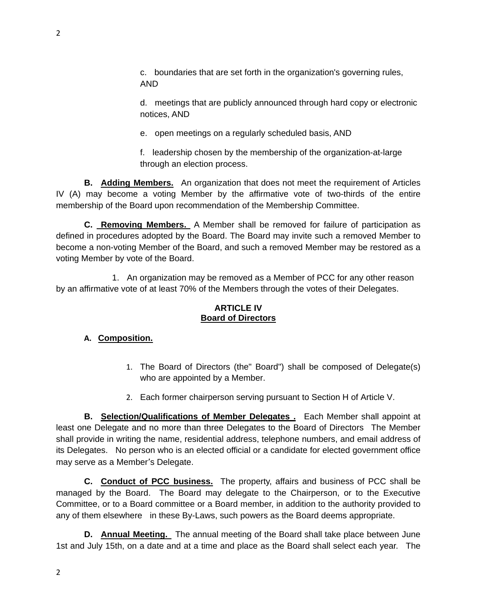c. boundaries that are set forth in the organization's governing rules, AND

d. meetings that are publicly announced through hard copy or electronic notices, AND

e. open meetings on a regularly scheduled basis, AND

f. leadership chosen by the membership of the organization-at-large through an election process.

**B. Adding Members.** An organization that does not meet the requirement of Articles IV (A) may become a voting Member by the affirmative vote of two-thirds of the entire membership of the Board upon recommendation of the Membership Committee.

**C. Removing Members.** A Member shall be removed for failure of participation as defined in procedures adopted by the Board. The Board may invite such a removed Member to become a non-voting Member of the Board, and such a removed Member may be restored as a voting Member by vote of the Board.

 1. An organization may be removed as a Member of PCC for any other reason by an affirmative vote of at least 70% of the Members through the votes of their Delegates.

# **ARTICLE IV Board of Directors**

# **A. Composition.**

- 1. The Board of Directors (the" Board") shall be composed of Delegate(s) who are appointed by a Member.
- 2. Each former chairperson serving pursuant to Section H of Article V.

**B. Selection/Qualifications of Member Delegates .** Each Member shall appoint at least one Delegate and no more than three Delegates to the Board of Directors The Member shall provide in writing the name, residential address, telephone numbers, and email address of its Delegates. No person who is an elected official or a candidate for elected government office may serve as a Member's Delegate.

**C. Conduct of PCC business.** The property, affairs and business of PCC shall be managed by the Board. The Board may delegate to the Chairperson, or to the Executive Committee, or to a Board committee or a Board member, in addition to the authority provided to any of them elsewhere in these By-Laws, such powers as the Board deems appropriate.

**D. Annual Meeting.** The annual meeting of the Board shall take place between June 1st and July 15th, on a date and at a time and place as the Board shall select each year. The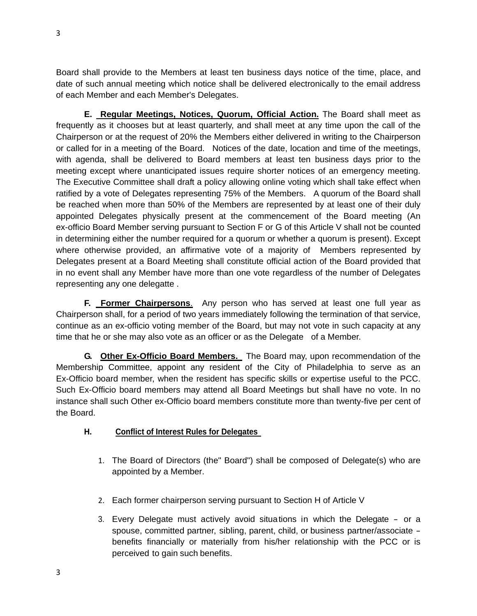Board shall provide to the Members at least ten business days notice of the time, place, and date of such annual meeting which notice shall be delivered electronically to the email address of each Member and each Member's Delegates.

**E. Regular Meetings, Notices, Quorum, Official Action.** The Board shall meet as frequently as it chooses but at least quarterly, and shall meet at any time upon the call of the Chairperson or at the request of 20% the Members either delivered in writing to the Chairperson or called for in a meeting of the Board. Notices of the date, location and time of the meetings, with agenda, shall be delivered to Board members at least ten business days prior to the meeting except where unanticipated issues require shorter notices of an emergency meeting. The Executive Committee shall draft a policy allowing online voting which shall take effect when ratified by a vote of Delegates representing 75% of the Members. A quorum of the Board shall be reached when more than 50% of the Members are represented by at least one of their duly appointed Delegates physically present at the commencement of the Board meeting (An ex-officio Board Member serving pursuant to Section F or G of this Article V shall not be counted in determining either the number required for a quorum or whether a quorum is present). Except where otherwise provided, an affirmative vote of a majority of Members represented by Delegates present at a Board Meeting shall constitute official action of the Board provided that in no event shall any Member have more than one vote regardless of the number of Delegates representing any one delegatte .

**F. Former Chairpersons**. Any person who has served at least one full year as Chairperson shall, for a period of two years immediately following the termination of that service, continue as an ex-officio voting member of the Board, but may not vote in such capacity at any time that he or she may also vote as an officer or as the Delegate of a Member.

**G. Other Ex-Officio Board Members.** The Board may, upon recommendation of the Membership Committee, appoint any resident of the City of Philadelphia to serve as an Ex-Officio board member, when the resident has specific skills or expertise useful to the PCC. Such Ex-Officio board members may attend all Board Meetings but shall have no vote. In no instance shall such Other ex-Officio board members constitute more than twenty-five per cent of the Board.

## **H. Conflict of Interest Rules for Delegates**

- 1. The Board of Directors (the" Board") shall be composed of Delegate(s) who are appointed by a Member.
- 2. Each former chairperson serving pursuant to Section H of Article V
- 3. Every Delegate must actively avoid situations in which the Delegate or a spouse, committed partner, sibling, parent, child, or business partner/associate benefits financially or materially from his/her relationship with the PCC or is perceived to gain such benefits.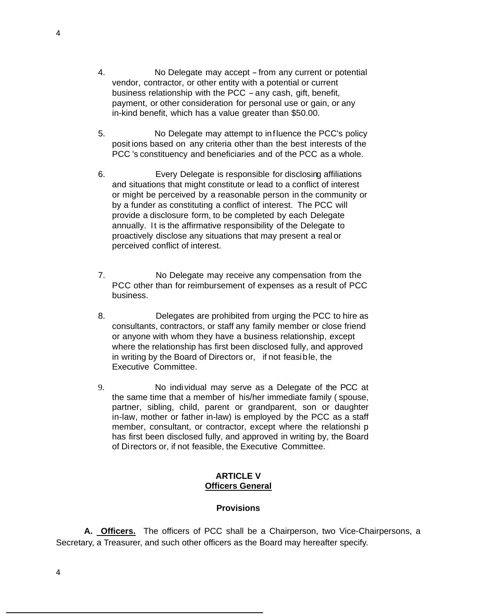- 4. No Delegate may accept from any current or potential vendor, contractor, or other entity with a potential or current business relationship with the PCC - any cash, gift, benefit, payment, or other consideration for personal use or gain, or any in-kind benefit, which has a value greater than \$50.00.
- 5. No Delegate may attempt to influence the PCC's policy posit ions based on any criteria other than the best interests of the PCC 's constituency and beneficiaries and of the PCC as a whole.
- 6. Every Delegate is responsible for disclosing affiliations and situations that might constitute or lead to a conflict of interest or might be perceived by a reasonable person in the community or by a funder as constituting a conflict of interest. The PCC will provide a disclosure form, to be completed by each Delegate annually. It is the affirmative responsibility of the Delegate to proactively disclose any situations that may present a real or perceived conflict of interest.
- 7. No Delegate may receive any compensation from the PCC other than for reimbursement of expenses as a result of PCC business.
- 8. Delegates are prohibited from urging the PCC to hire as consultants, contractors, or staff any family member or close friend or anyone with whom they have a business relationship, except where the relationship has first been disclosed fully, and approved in writing by the Board of Directors or, if not feasible, the Executive Committee.
- 9. No individual may serve as a Delegate of the PCC at the same time that a member of his/her immediate family ( spouse, partner, sibling, child, parent or grandparent, son or daughter in-law, mother or father in-law) is employed by the PCC as a staff member, consultant, or contractor, except where the relationshi p has first been disclosed fully, and approved in writing by, the Board of Directors or, if not feasible, the Executive Committee.

#### **ARTICLE V Officers General**

### **Provisions**

**A. Officers.** The officers of PCC shall be a Chairperson, two Vice-Chairpersons, a Secretary, a Treasurer, and such other officers as the Board may hereafter specify.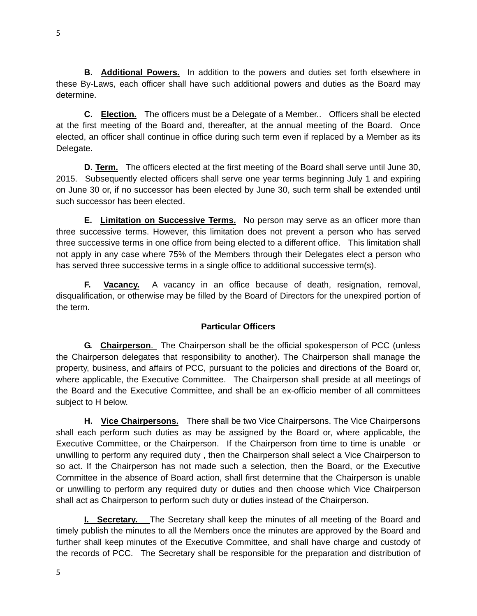**B. Additional Powers.** In addition to the powers and duties set forth elsewhere in these By-Laws, each officer shall have such additional powers and duties as the Board may determine.

**C. Election.** The officers must be a Delegate of a Member.. Officers shall be elected at the first meeting of the Board and, thereafter, at the annual meeting of the Board. Once elected, an officer shall continue in office during such term even if replaced by a Member as its Delegate.

**D. Term.** The officers elected at the first meeting of the Board shall serve until June 30, 2015. Subsequently elected officers shall serve one year terms beginning July 1 and expiring on June 30 or, if no successor has been elected by June 30, such term shall be extended until such successor has been elected.

**E. Limitation on Successive Terms.** No person may serve as an officer more than three successive terms. However, this limitation does not prevent a person who has served three successive terms in one office from being elected to a different office. This limitation shall not apply in any case where 75% of the Members through their Delegates elect a person who has served three successive terms in a single office to additional successive term(s).

**F. Vacancy.** A vacancy in an office because of death, resignation, removal, disqualification, or otherwise may be filled by the Board of Directors for the unexpired portion of the term.

### **Particular Officers**

**G. Chairperson**. The Chairperson shall be the official spokesperson of PCC (unless the Chairperson delegates that responsibility to another). The Chairperson shall manage the property, business, and affairs of PCC, pursuant to the policies and directions of the Board or, where applicable, the Executive Committee. The Chairperson shall preside at all meetings of the Board and the Executive Committee, and shall be an ex-officio member of all committees subject to H below.

**H. Vice Chairpersons.** There shall be two Vice Chairpersons. The Vice Chairpersons shall each perform such duties as may be assigned by the Board or, where applicable, the Executive Committee, or the Chairperson. If the Chairperson from time to time is unable or unwilling to perform any required duty , then the Chairperson shall select a Vice Chairperson to so act. If the Chairperson has not made such a selection, then the Board, or the Executive Committee in the absence of Board action, shall first determine that the Chairperson is unable or unwilling to perform any required duty or duties and then choose which Vice Chairperson shall act as Chairperson to perform such duty or duties instead of the Chairperson.

**I. Secretary.** The Secretary shall keep the minutes of all meeting of the Board and timely publish the minutes to all the Members once the minutes are approved by the Board and further shall keep minutes of the Executive Committee, and shall have charge and custody of the records of PCC. The Secretary shall be responsible for the preparation and distribution of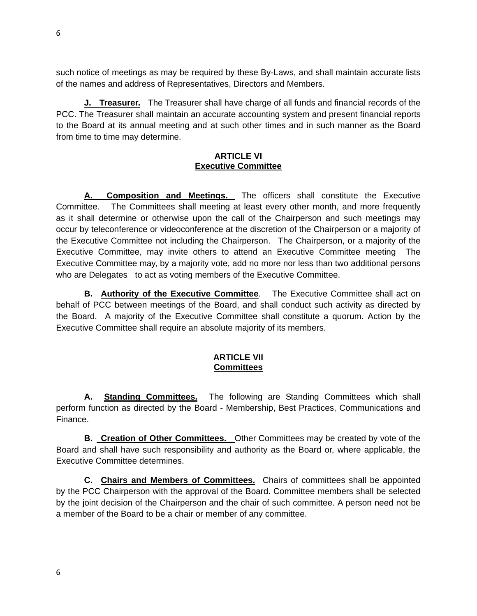such notice of meetings as may be required by these By-Laws, and shall maintain accurate lists of the names and address of Representatives, Directors and Members.

**J. Treasurer.** The Treasurer shall have charge of all funds and financial records of the PCC. The Treasurer shall maintain an accurate accounting system and present financial reports to the Board at its annual meeting and at such other times and in such manner as the Board from time to time may determine.

### **ARTICLE VI Executive Committee**

**A. Composition and Meetings.** The officers shall constitute the Executive Committee. The Committees shall meeting at least every other month, and more frequently as it shall determine or otherwise upon the call of the Chairperson and such meetings may occur by teleconference or videoconference at the discretion of the Chairperson or a majority of the Executive Committee not including the Chairperson. The Chairperson, or a majority of the Executive Committee, may invite others to attend an Executive Committee meeting The Executive Committee may, by a majority vote, add no more nor less than two additional persons who are Delegates to act as voting members of the Executive Committee.

**B. Authority of the Executive Committee**. The Executive Committee shall act on behalf of PCC between meetings of the Board, and shall conduct such activity as directed by the Board. A majority of the Executive Committee shall constitute a quorum. Action by the Executive Committee shall require an absolute majority of its members.

### **ARTICLE VII Committees**

**A. Standing Committees.** The following are Standing Committees which shall perform function as directed by the Board - Membership, Best Practices, Communications and Finance.

**B. Creation of Other Committees.** Other Committees may be created by vote of the Board and shall have such responsibility and authority as the Board or, where applicable, the Executive Committee determines.

**C. Chairs and Members of Committees.** Chairs of committees shall be appointed by the PCC Chairperson with the approval of the Board. Committee members shall be selected by the joint decision of the Chairperson and the chair of such committee. A person need not be a member of the Board to be a chair or member of any committee.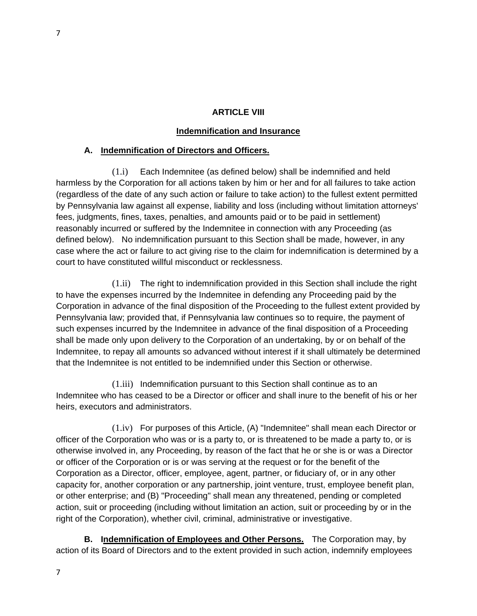# **ARTICLE VIII**

## **Indemnification and Insurance**

## **A. Indemnification of Directors and Officers.**

(1.i) Each Indemnitee (as defined below) shall be indemnified and held harmless by the Corporation for all actions taken by him or her and for all failures to take action (regardless of the date of any such action or failure to take action) to the fullest extent permitted by Pennsylvania law against all expense, liability and loss (including without limitation attorneys' fees, judgments, fines, taxes, penalties, and amounts paid or to be paid in settlement) reasonably incurred or suffered by the Indemnitee in connection with any Proceeding (as defined below). No indemnification pursuant to this Section shall be made, however, in any case where the act or failure to act giving rise to the claim for indemnification is determined by a court to have constituted willful misconduct or recklessness.

(1.ii) The right to indemnification provided in this Section shall include the right to have the expenses incurred by the Indemnitee in defending any Proceeding paid by the Corporation in advance of the final disposition of the Proceeding to the fullest extent provided by Pennsylvania law; provided that, if Pennsylvania law continues so to require, the payment of such expenses incurred by the Indemnitee in advance of the final disposition of a Proceeding shall be made only upon delivery to the Corporation of an undertaking, by or on behalf of the Indemnitee, to repay all amounts so advanced without interest if it shall ultimately be determined that the Indemnitee is not entitled to be indemnified under this Section or otherwise.

(1.iii) Indemnification pursuant to this Section shall continue as to an Indemnitee who has ceased to be a Director or officer and shall inure to the benefit of his or her heirs, executors and administrators.

(1.iv) For purposes of this Article, (A) "Indemnitee" shall mean each Director or officer of the Corporation who was or is a party to, or is threatened to be made a party to, or is otherwise involved in, any Proceeding, by reason of the fact that he or she is or was a Director or officer of the Corporation or is or was serving at the request or for the benefit of the Corporation as a Director, officer, employee, agent, partner, or fiduciary of, or in any other capacity for, another corporation or any partnership, joint venture, trust, employee benefit plan, or other enterprise; and (B) "Proceeding" shall mean any threatened, pending or completed action, suit or proceeding (including without limitation an action, suit or proceeding by or in the right of the Corporation), whether civil, criminal, administrative or investigative.

**B. Indemnification of Employees and Other Persons.** The Corporation may, by action of its Board of Directors and to the extent provided in such action, indemnify employees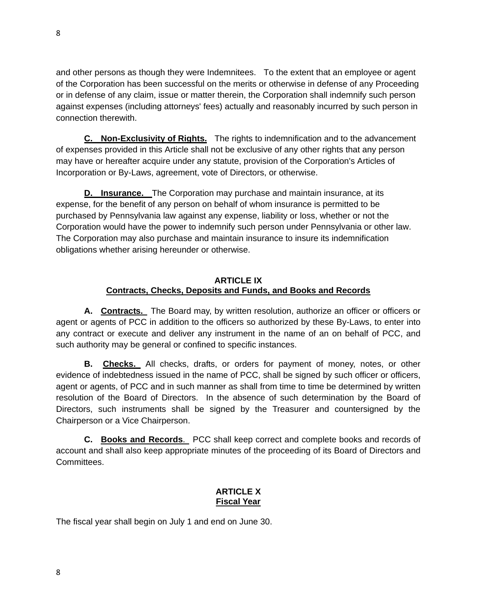and other persons as though they were Indemnitees. To the extent that an employee or agent of the Corporation has been successful on the merits or otherwise in defense of any Proceeding or in defense of any claim, issue or matter therein, the Corporation shall indemnify such person against expenses (including attorneys' fees) actually and reasonably incurred by such person in connection therewith.

**C. Non-Exclusivity of Rights.** The rights to indemnification and to the advancement of expenses provided in this Article shall not be exclusive of any other rights that any person may have or hereafter acquire under any statute, provision of the Corporation's Articles of Incorporation or By-Laws, agreement, vote of Directors, or otherwise.

**D. Insurance.** The Corporation may purchase and maintain insurance, at its expense, for the benefit of any person on behalf of whom insurance is permitted to be purchased by Pennsylvania law against any expense, liability or loss, whether or not the Corporation would have the power to indemnify such person under Pennsylvania or other law. The Corporation may also purchase and maintain insurance to insure its indemnification obligations whether arising hereunder or otherwise.

# **ARTICLE IX Contracts, Checks, Deposits and Funds, and Books and Records**

**A. Contracts.** The Board may, by written resolution, authorize an officer or officers or agent or agents of PCC in addition to the officers so authorized by these By-Laws, to enter into any contract or execute and deliver any instrument in the name of an on behalf of PCC, and such authority may be general or confined to specific instances.

 **B. Checks.** All checks, drafts, or orders for payment of money, notes, or other evidence of indebtedness issued in the name of PCC, shall be signed by such officer or officers, agent or agents, of PCC and in such manner as shall from time to time be determined by written resolution of the Board of Directors. In the absence of such determination by the Board of Directors, such instruments shall be signed by the Treasurer and countersigned by the Chairperson or a Vice Chairperson.

**C. Books and Records**. PCC shall keep correct and complete books and records of account and shall also keep appropriate minutes of the proceeding of its Board of Directors and Committees.

# **ARTICLE X Fiscal Year**

The fiscal year shall begin on July 1 and end on June 30.